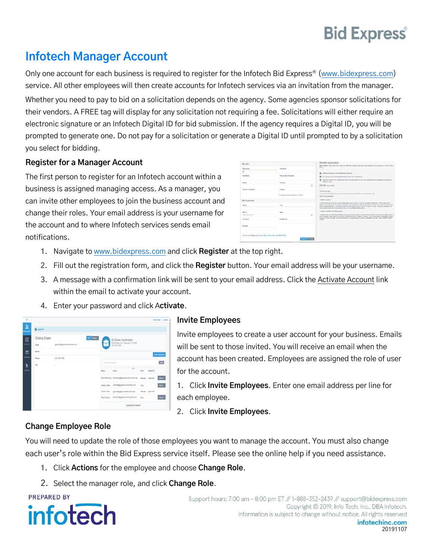# **Bid Express**

# **Infotech Manager Account**

Only one account for each business is required to register for the Infotech Bid Express® (www.bidexpress.com) service. All other employees will then create accounts for Infotech services via an invitation from the manager. Whether you need to pay to bid on a solicitation depends on the agency. Some agencies sponsor solicitations for their vendors. A FREE tag will display for any solicitation not requiring a fee. Solicitations will either require an electronic signature or an Infotech Digital ID for bid submission. If the agency requires a Digital ID, you will be prompted to generate one. Do not pay for a solicitation or generate a Digital ID until prompted to by a solicitation you select for bidding.

#### **Register for a Manager Account**

The first person to register for an Infotech account within a business is assigned managing access. As a manager, you can invite other employees to join the business account and change their roles. Your email address is your username for the account and to where Infotech services sends email notifications.

| My Info                                                                 |                                                                                  | Monthly subscription<br>Best value! The subscription pays for their with just two tabs per month and you can ensure you won't miss a                                                                                                                                                                                                                                                                                                                                            |  |
|-------------------------------------------------------------------------|----------------------------------------------------------------------------------|---------------------------------------------------------------------------------------------------------------------------------------------------------------------------------------------------------------------------------------------------------------------------------------------------------------------------------------------------------------------------------------------------------------------------------------------------------------------------------|--|
| That Name                                                               | 1 Password                                                                       | they.                                                                                                                                                                                                                                                                                                                                                                                                                                                                           |  |
| ı                                                                       |                                                                                  | Delimined bidding on all solid ballons for all agencies.<br>۰                                                                                                                                                                                                                                                                                                                                                                                                                   |  |
| Last Hores                                                              | <sup>1</sup> Password Conferration                                               | <b>C</b> House construct coast solitanizes by opposed to withdates.                                                                                                                                                                                                                                                                                                                                                                                                             |  |
| Freed                                                                   | * Garylam                                                                        | Associate animated NSP charatterizes police and automatically receive creational tradition when subclotions can advertised<br>with Experiments.                                                                                                                                                                                                                                                                                                                                 |  |
|                                                                         | $\overline{\infty}$                                                              | \$50.00 / per month                                                                                                                                                                                                                                                                                                                                                                                                                                                             |  |
| Fount Contineystics                                                     | 1 Juliano<br>than a factorization of interesting the path was a to conflict this | Pay as you go<br>Christen by and windsherow scientific training. Reconcerns institutions for your windsheep only.<br>\$20.00 / per education                                                                                                                                                                                                                                                                                                                                    |  |
| My Business                                                             |                                                                                  | To Marcuriacen.                                                                                                                                                                                                                                                                                                                                                                                                                                                                 |  |
| <b>NATA</b>                                                             | 1 City                                                                           | Copy the home too, appli down and locate the appear from which you would be to receive natifications. Click the name of the<br>agencie gets he agency to request Josen for may to be left use under the Granatists ended, and collect her column has<br>and to entire oddenizations. You will then enter the subscription property. Since your conditional maps, if you meet annibations our<br>support buen can well you through the process. Call us at \$30.253 DIDX (2428). |  |
| Passe                                                                   | $+5000$                                                                          | To see the suicidents for hidding spector                                                                                                                                                                                                                                                                                                                                                                                                                                       |  |
| 13301335-0095339                                                        | $\infty$                                                                         | From the terms (a), solid time, and tracks as appears to must set and have small the training comes. Clear the come of the comes, to<br>as to the senior home alone. First a necket of impact and data on "Select for Elizabe "Vici-of than ergy the subscription respect-                                                                                                                                                                                                      |  |
| * Address                                                               | 1 Postal Code                                                                    | How your credit pertinents. If you your emblance, our pubpertieses pay your yar Perugh the process. Call up at 008 303 80000<br>094391                                                                                                                                                                                                                                                                                                                                          |  |
| Address)                                                                |                                                                                  |                                                                                                                                                                                                                                                                                                                                                                                                                                                                                 |  |
| El Haro real and agreed to Prince Poles, Torra of Jus., and CMCA Poles. | <b>Region</b> Cancel                                                             |                                                                                                                                                                                                                                                                                                                                                                                                                                                                                 |  |

- 1. Navigate to www.bidexpress.com and click **Register** at the top right.
- 2. Fill out the registration form, and click the **Register** button. Your email address will be your username.
- 3. A message with a confirmation link will be sent to your email address. Click the Activate Account link within the email to activate your account.
- 4. Enter your password and click A**ctivate**.



#### **Invite Employees**

Invite employees to create a user account for your business. Emails will be sent to those invited. You will receive an email when the account has been created. Employees are assigned the role of user for the account.

1. Click **Invite Employees**. Enter one email address per line for each employee.

2. Click **Invite Employees**.

#### **Change Employee Role**

You will need to update the role of those employees you want to manage the account. You must also change each user's role within the Bid Express service itself. Please see the online help if you need assistance.

- 1. Click **Actions** for the employee and choose **Change Role**.
- 2. Select the manager role, and click **Change Role**.

**PREPARED BY** 



Support hours: 7:00 am - 8:00 pm ET // 1-888-352-2439 // support@bidexpress.com Copyright © 2019, Info Tech, Inc., DBA Infotech. Information is subject to change without notice. All rights reserved infotechinc.com